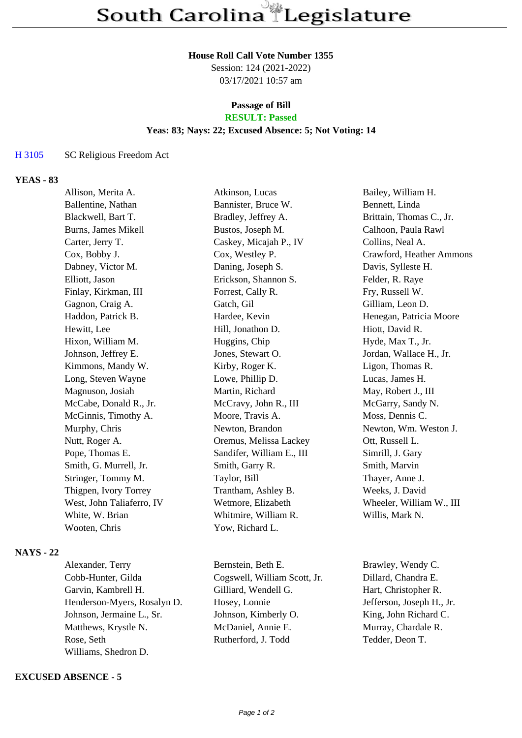#### **House Roll Call Vote Number 1355**

Session: 124 (2021-2022) 03/17/2021 10:57 am

# **Passage of Bill**

## **RESULT: Passed**

## **Yeas: 83; Nays: 22; Excused Absence: 5; Not Voting: 14**

#### H 3105 SC Religious Freedom Act

### **YEAS - 83**

| Allison, Merita A.        | Atkinson, Lucas           | Bailey, William H.       |
|---------------------------|---------------------------|--------------------------|
| Ballentine, Nathan        | Bannister, Bruce W.       | Bennett, Linda           |
| Blackwell, Bart T.        | Bradley, Jeffrey A.       | Brittain, Thomas C., Jr. |
| Burns, James Mikell       | Bustos, Joseph M.         | Calhoon, Paula Rawl      |
| Carter, Jerry T.          | Caskey, Micajah P., IV    | Collins, Neal A.         |
| Cox, Bobby J.             | Cox, Westley P.           | Crawford, Heather Ammons |
| Dabney, Victor M.         | Daning, Joseph S.         | Davis, Sylleste H.       |
| Elliott, Jason            | Erickson, Shannon S.      | Felder, R. Raye          |
| Finlay, Kirkman, III      | Forrest, Cally R.         | Fry, Russell W.          |
| Gagnon, Craig A.          | Gatch, Gil                | Gilliam, Leon D.         |
| Haddon, Patrick B.        | Hardee, Kevin             | Henegan, Patricia Moore  |
| Hewitt, Lee               | Hill, Jonathon D.         | Hiott, David R.          |
| Hixon, William M.         | Huggins, Chip             | Hyde, Max T., Jr.        |
| Johnson, Jeffrey E.       | Jones, Stewart O.         | Jordan, Wallace H., Jr.  |
| Kimmons, Mandy W.         | Kirby, Roger K.           | Ligon, Thomas R.         |
| Long, Steven Wayne        | Lowe, Phillip D.          | Lucas, James H.          |
| Magnuson, Josiah          | Martin, Richard           | May, Robert J., III      |
| McCabe, Donald R., Jr.    | McCravy, John R., III     | McGarry, Sandy N.        |
| McGinnis, Timothy A.      | Moore, Travis A.          | Moss, Dennis C.          |
| Murphy, Chris             | Newton, Brandon           | Newton, Wm. Weston J.    |
| Nutt, Roger A.            | Oremus, Melissa Lackey    | Ott, Russell L.          |
| Pope, Thomas E.           | Sandifer, William E., III | Simrill, J. Gary         |
| Smith, G. Murrell, Jr.    | Smith, Garry R.           | Smith, Marvin            |
| Stringer, Tommy M.        | Taylor, Bill              | Thayer, Anne J.          |
| Thigpen, Ivory Torrey     | Trantham, Ashley B.       | Weeks, J. David          |
| West, John Taliaferro, IV | Wetmore, Elizabeth        | Wheeler, William W., III |
| White, W. Brian           | Whitmire, William R.      | Willis, Mark N.          |
| Wooten, Chris             | Yow, Richard L.           |                          |
|                           |                           |                          |

# **NAYS - 22**

Cobb-Hunter, Gilda Cogswell, William Scott, Jr. Dillard, Chandra E. Garvin, Kambrell H. Gilliard, Wendell G. Hart, Christopher R. Henderson-Myers, Rosalyn D. Hosey, Lonnie Jefferson, Joseph H., Jr. Johnson, Jermaine L., Sr. Johnson, Kimberly O. King, John Richard C. Matthews, Krystle N. McDaniel, Annie E. Murray, Chardale R. Rose, Seth Rutherford, J. Todd Tedder, Deon T. Williams, Shedron D.

#### **EXCUSED ABSENCE - 5**

Alexander, Terry Bernstein, Beth E. Brawley, Wendy C.